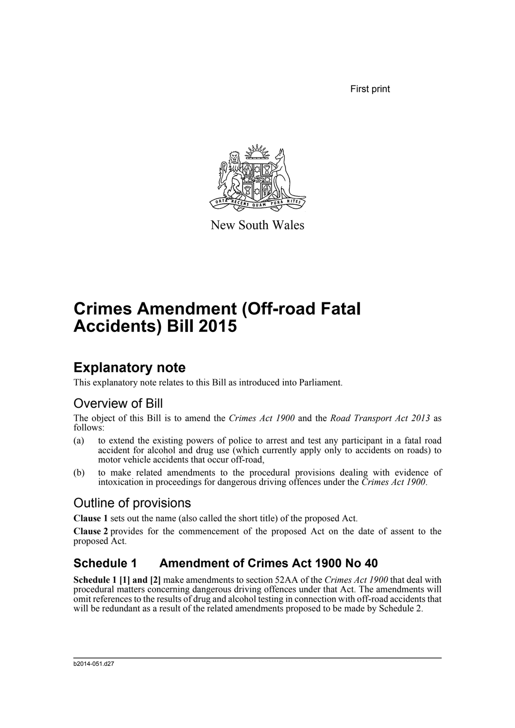First print



New South Wales

# **Crimes Amendment (Off-road Fatal Accidents) Bill 2015**

### **Explanatory note**

This explanatory note relates to this Bill as introduced into Parliament.

#### Overview of Bill

The object of this Bill is to amend the *Crimes Act 1900* and the *Road Transport Act 2013* as follows:

- (a) to extend the existing powers of police to arrest and test any participant in a fatal road accident for alcohol and drug use (which currently apply only to accidents on roads) to motor vehicle accidents that occur off-road.
- (b) to make related amendments to the procedural provisions dealing with evidence of intoxication in proceedings for dangerous driving offences under the *Crimes Act 1900*.

### Outline of provisions

**Clause 1** sets out the name (also called the short title) of the proposed Act.

**Clause 2** provides for the commencement of the proposed Act on the date of assent to the proposed Act.

#### **Schedule 1 Amendment of Crimes Act 1900 No 40**

**Schedule 1 [1] and [2]** make amendments to section 52AA of the *Crimes Act 1900* that deal with procedural matters concerning dangerous driving offences under that Act. The amendments will omit references to the results of drug and alcohol testing in connection with off-road accidents that will be redundant as a result of the related amendments proposed to be made by Schedule 2.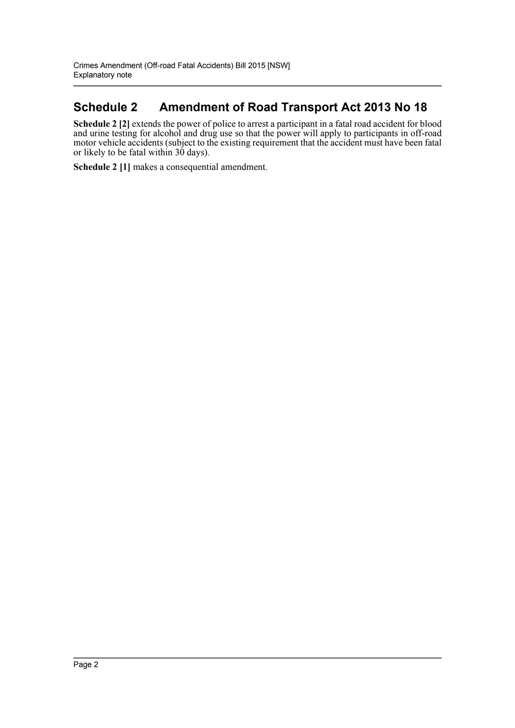#### **Schedule 2 Amendment of Road Transport Act 2013 No 18**

**Schedule 2** [2] extends the power of police to arrest a participant in a fatal road accident for blood and urine testing for alcohol and drug use so that the power will apply to participants in off-road motor vehicle accidents (subject to the existing requirement that the accident must have been fatal or likely to be fatal within 30 days).

**Schedule 2 [1]** makes a consequential amendment.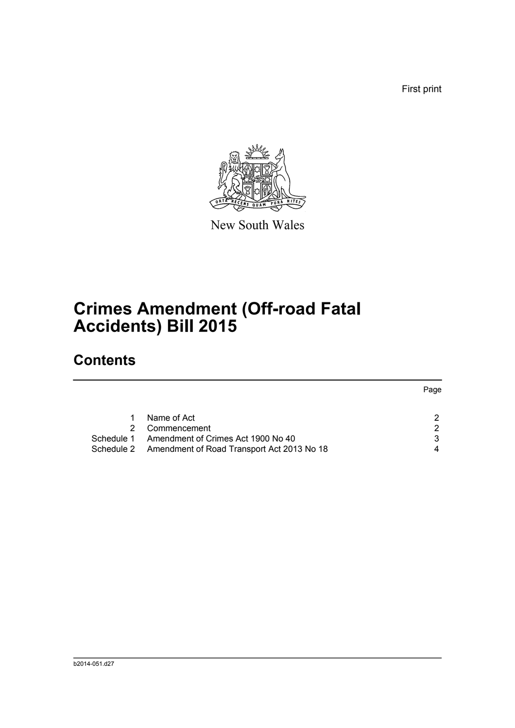First print

Page



New South Wales

# **Crimes Amendment (Off-road Fatal Accidents) Bill 2015**

### **Contents**

|                                                       | Page |
|-------------------------------------------------------|------|
|                                                       |      |
| Name of Act                                           |      |
| Commencement                                          | 2    |
| Schedule 1 Amendment of Crimes Act 1900 No 40         | 3    |
| Schedule 2 Amendment of Road Transport Act 2013 No 18 | 4    |
|                                                       |      |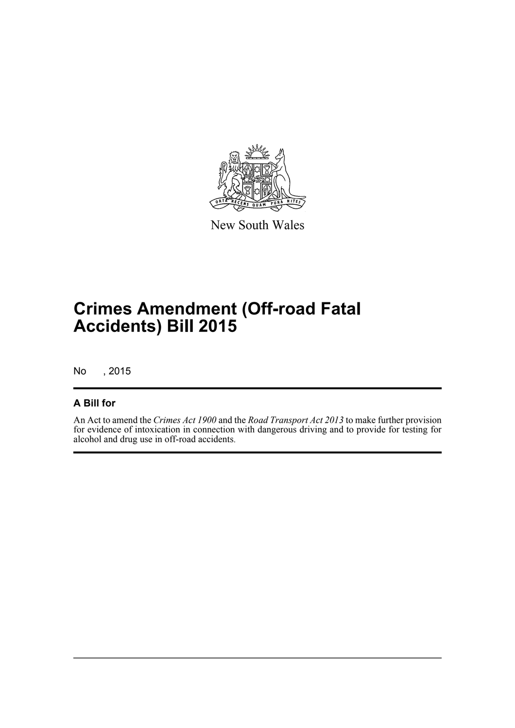

New South Wales

# **Crimes Amendment (Off-road Fatal Accidents) Bill 2015**

No , 2015

#### **A Bill for**

An Act to amend the *Crimes Act 1900* and the *Road Transport Act 2013* to make further provision for evidence of intoxication in connection with dangerous driving and to provide for testing for alcohol and drug use in off-road accidents.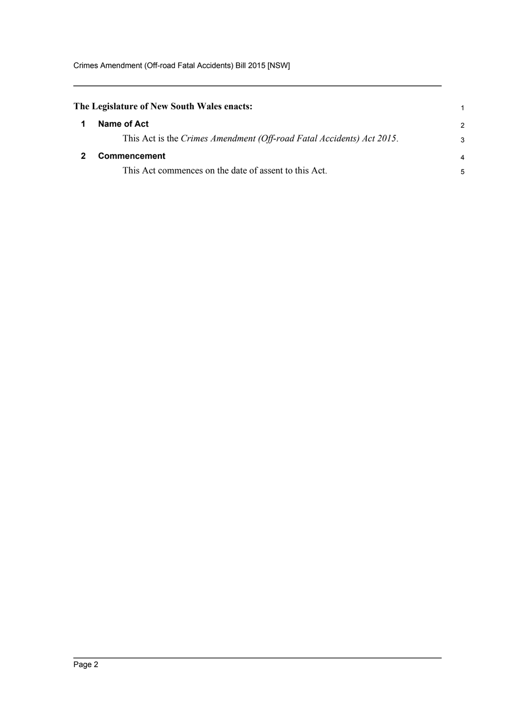<span id="page-4-1"></span><span id="page-4-0"></span>

| The Legislature of New South Wales enacts: |                                                                       |                |
|--------------------------------------------|-----------------------------------------------------------------------|----------------|
|                                            | Name of Act                                                           | $\overline{2}$ |
|                                            | This Act is the Crimes Amendment (Off-road Fatal Accidents) Act 2015. | 3              |
|                                            | <b>Commencement</b>                                                   |                |
|                                            | This Act commences on the date of assent to this Act.                 | 5              |
|                                            |                                                                       |                |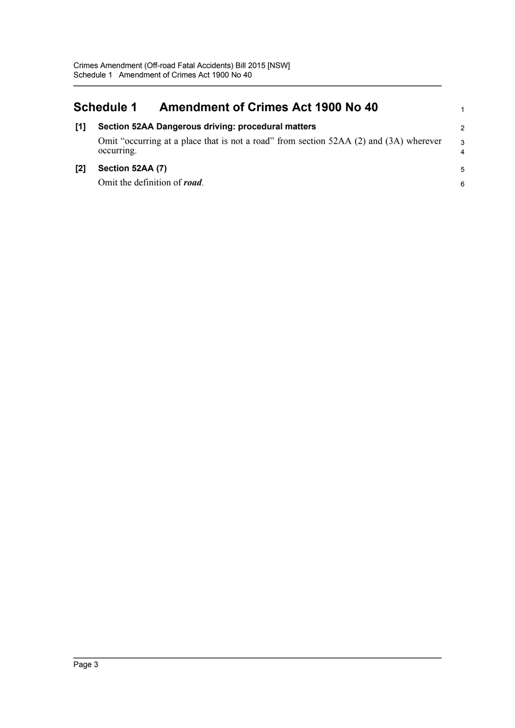<span id="page-5-0"></span>

| <b>Schedule 1</b> |                                                                                                      | <b>Amendment of Crimes Act 1900 No 40</b>          |                |
|-------------------|------------------------------------------------------------------------------------------------------|----------------------------------------------------|----------------|
| [1]               |                                                                                                      | Section 52AA Dangerous driving: procedural matters | $\overline{2}$ |
|                   | Omit "occurring at a place that is not a road" from section 52AA (2) and (3A) wherever<br>occurring. |                                                    |                |
| $\mathsf{I2}$     | Section 52AA (7)                                                                                     |                                                    | 5              |
|                   |                                                                                                      | Omit the definition of road.                       | 6              |
|                   |                                                                                                      |                                                    |                |